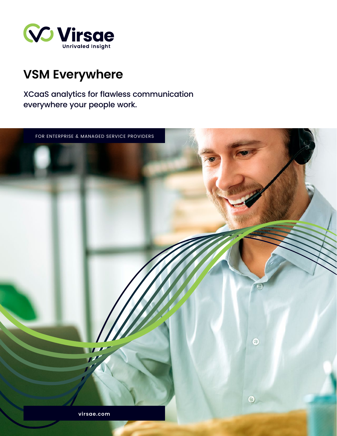

# **VSM Everywhere**

XCaaS analytics for flawless communication everywhere your people work.

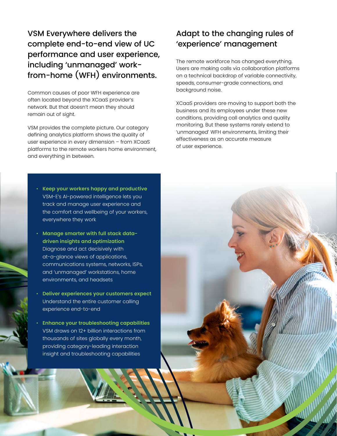VSM Everywhere delivers the complete end-to-end view of UC performance and user experience, including 'unmanaged' workfrom-home (WFH) environments.

Common causes of poor WFH experience are often located beyond the XCaaS provider's network. But that doesn't mean they should remain out of sight.

VSM provides the complete picture. Our category defining analytics platform shows the quality of user experience in every dimension – from XCaaS platforms to the remote workers home environment, and everything in between.

- **Keep your workers happy and productive** VSM-E's AI-powered intelligence lets you track and manage user experience and the comfort and wellbeing of your workers, everywhere they work
- **Manage smarter with full stack datadriven insights and optimization** Diagnose and act decisively with at-a-glance views of applications, communications systems, networks, ISPs, and 'unmanaged' workstations, home environments, and headsets
- **Deliver experiences your customers expect** Understand the entire customer calling experience end-to-end
- **Enhance your troubleshooting capabilities** VSM draws on 12+ billion interactions from thousands of sites globally every month, providing category-leading interaction insight and troubleshooting capabilities

# Adapt to the changing rules of 'experience' management

The remote workforce has changed everything. Users are making calls via collaboration platforms on a technical backdrop of variable connectivity, speeds, consumer-grade connections, and background noise.

XCaaS providers are moving to support both the business and its employees under these new conditions, providing call analytics and quality monitoring. But these systems rarely extend to 'unmanaged' WFH environments, limiting their effectiveness as an accurate measure of user experience.

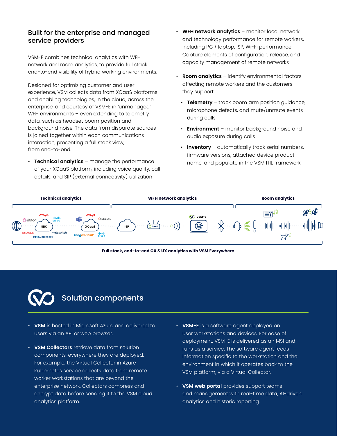#### Built for the enterprise and managed service providers

VSM-E combines technical analytics with WFH network and room analytics, to provide full stack end-to-end visibility of hybrid working environments.

Designed for optimizing customer and user experience, VSM collects data from XCaaS platforms and enabling technologies, in the cloud, across the enterprise, and courtesy of VSM-E in 'unmanaged' WFH environments - even extending to telemetry data, such as headset boom position and background noise. The data from disparate sources is joined together within each communications interaction, presenting a full stack view, from end-to-end.

• **Technical analytics** – manage the performance of your XCaaS platform, including voice quality, call details, and SIP (external connectivity) utilization

- **WFH network analytics** monitor local network and technology performance for remote workers, including PC / laptop, ISP, Wi-Fi performance. Capture elements of configuration, release, and capacity management of remote networks
- **Room analytics** identify environmental factors affecting remote workers and the customers they support
	- **Telemetry**  track boom arm position guidance, microphone defects, and mute/unmute events during calls
	- **Environment** monitor background noise and audio exposure during calls
	- **Inventory**  automatically track serial numbers, firmware versions, attached device product name, and populate in the VSM ITIL framework







### Solution components

- **VSM** is hosted in Microsoft Azure and delivered to users via an API or web browser.
- **VSM Collectors** retrieve data from solution components, everywhere they are deployed. For example, the Virtual Collector in Azure Kubernetes service collects data from remote worker workstations that are beyond the enterprise network. Collectors compress and encrypt data before sending it to the VSM cloud analytics platform.
- **Full stack of the UX analytics with VSM Everywhere where** workstations and devices. For ease of • **VSM-E** is a software agent deployed on deployment, VSM-E is delivered as an MSI and runs as a service. The software agent feeds information specific to the workstation and the environment in which it operates back to the VSM platform, via a Virtual Collector.
	- **VSM web portal** provides support teams and management with real-time data, AI-driven analytics and historic reporting.